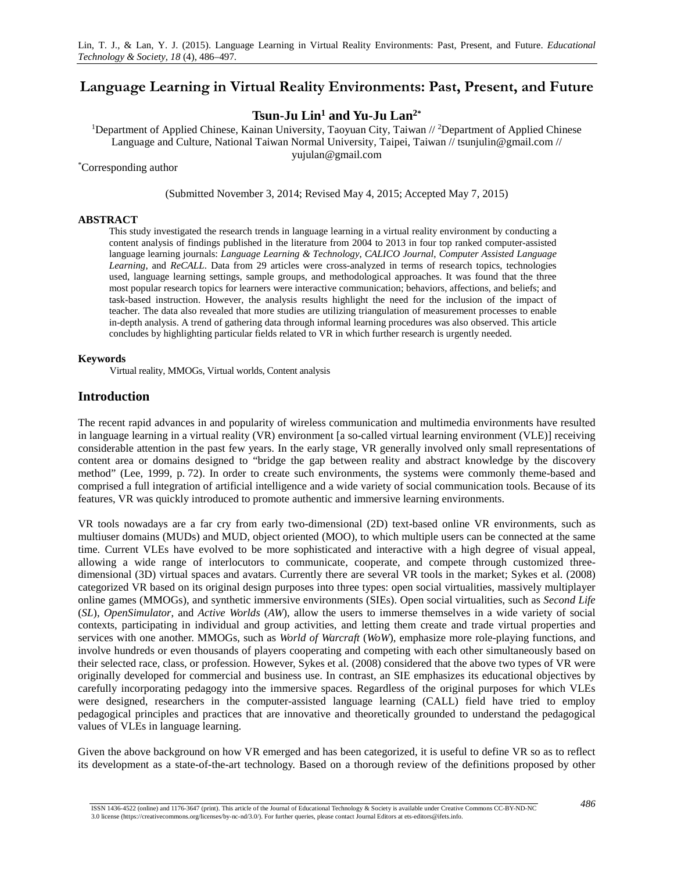# **Language Learning in Virtual Reality Environments: Past, Present, and Future**

# **Tsun-Ju Lin1 and Yu-Ju Lan2\***

<sup>1</sup>Department of Applied Chinese, Kainan University, Taoyuan City, Taiwan // <sup>2</sup>Department of Applied Chinese Language and Culture, National Taiwan Normal University, Taipei, Taiwan // tsunjulin@gmail.com // yujulan@gmail.com

\* Corresponding author

(Submitted November 3, 2014; Revised May 4, 2015; Accepted May 7, 2015)

#### **ABSTRACT**

This study investigated the research trends in language learning in a virtual reality environment by conducting a content analysis of findings published in the literature from 2004 to 2013 in four top ranked computer-assisted language learning journals: *Language Learning & Technology*, *CALICO Journal*, *Computer Assisted Language Learning*, and *ReCALL*. Data from 29 articles were cross-analyzed in terms of research topics, technologies used, language learning settings, sample groups, and methodological approaches. It was found that the three most popular research topics for learners were interactive communication; behaviors, affections, and beliefs; and task-based instruction. However, the analysis results highlight the need for the inclusion of the impact of teacher. The data also revealed that more studies are utilizing triangulation of measurement processes to enable in-depth analysis. A trend of gathering data through informal learning procedures was also observed. This article concludes by highlighting particular fields related to VR in which further research is urgently needed.

#### **Keywords**

Virtual reality, MMOGs, Virtual worlds, Content analysis

## **Introduction**

The recent rapid advances in and popularity of wireless communication and multimedia environments have resulted in language learning in a virtual reality (VR) environment [a so-called virtual learning environment (VLE)] receiving considerable attention in the past few years. In the early stage, VR generally involved only small representations of content area or domains designed to "bridge the gap between reality and abstract knowledge by the discovery method" (Lee, 1999, p. 72). In order to create such environments, the systems were commonly theme-based and comprised a full integration of artificial intelligence and a wide variety of social communication tools. Because of its features, VR was quickly introduced to promote authentic and immersive learning environments.

VR tools nowadays are a far cry from early two-dimensional (2D) text-based online VR environments, such as multiuser domains (MUDs) and MUD, object oriented (MOO), to which multiple users can be connected at the same time. Current VLEs have evolved to be more sophisticated and interactive with a high degree of visual appeal, allowing a wide range of interlocutors to communicate, cooperate, and compete through customized threedimensional (3D) virtual spaces and avatars. Currently there are several VR tools in the market; Sykes et al. (2008) categorized VR based on its original design purposes into three types: open social virtualities, massively multiplayer online games (MMOGs), and synthetic immersive environments (SIEs). Open social virtualities, such as *Second Life* (*SL*), *OpenSimulator*, and *Active Worlds* (*AW*), allow the users to immerse themselves in a wide variety of social contexts, participating in individual and group activities, and letting them create and trade virtual properties and services with one another. MMOGs, such as *World of Warcraft* (*WoW*), emphasize more [role-playing functions, and](http://en.wikipedia.org/wiki/Multiplayer_video_game)  [involve](http://en.wikipedia.org/wiki/Multiplayer_video_game) hundreds or even thousands of players cooperating and competing with each other simultaneously based on their selected race, class, or profession. However, Sykes et al. (2008) considered that the above two types of VR were originally developed for commercial and business use. In contrast, an SIE emphasizes its educational objectives by carefully incorporating pedagogy into the immersive spaces. Regardless of the original purposes for which VLEs were designed, researchers in the computer-assisted language learning (CALL) field have tried to employ pedagogical principles and practices that are innovative and theoretically grounded to understand the pedagogical values of VLEs in language learning.

Given the above background on how VR emerged and has been categorized, it is useful to define VR so as to reflect its development as a state-of-the-art technology. Based on a thorough review of the definitions proposed by other

*486* ISSN 1436-4522 (online) and 1176-3647 (print). This article of the Journal of Educational Technology & Society is available under Creative Commons CC-BY-ND-NC 3.0 license (https://creativecommons.org/licenses/by-nc-nd/3.0/). For further queries, please contact Journal Editors at ets-editors@ifets.info.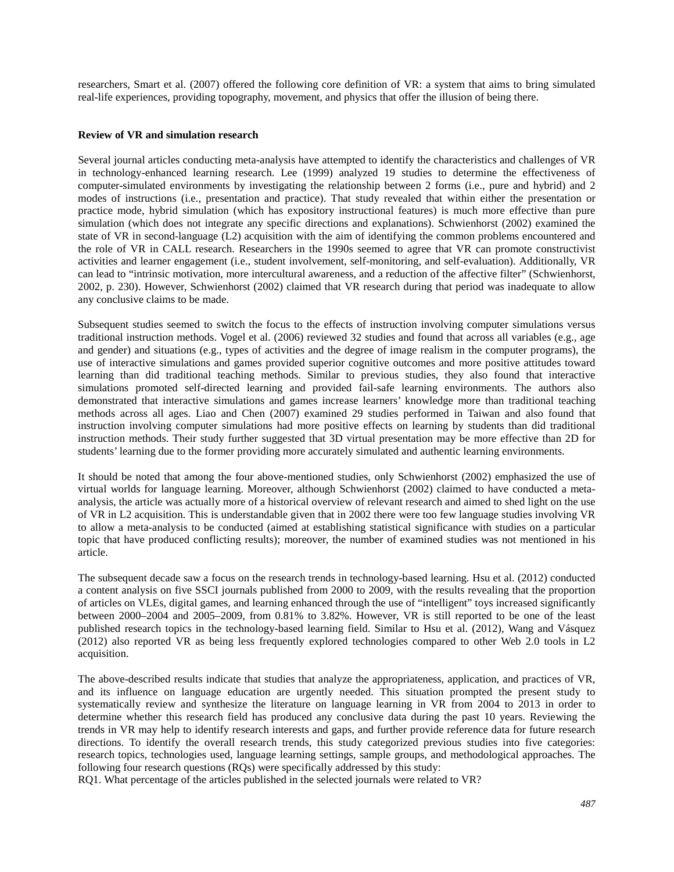researchers, Smart et al. (2007) offered the following core definition of VR: a system that aims to bring simulated real-life experiences, providing topography, movement, and physics that offer the illusion of being there.

#### **Review of VR and simulation research**

Several journal articles conducting meta-analysis have attempted to identify the characteristics and challenges of VR in technology-enhanced learning research. Lee (1999) analyzed 19 studies to determine the effectiveness of computer-simulated environments by investigating the relationship between 2 forms (i.e., pure and hybrid) and 2 modes of instructions (i.e., presentation and practice). That study revealed that within either the presentation or practice mode, hybrid simulation (which has expository instructional features) is much more effective than pure simulation (which does not integrate any specific directions and explanations). Schwienhorst (2002) examined the state of VR in second-language (L2) acquisition with the aim of identifying the common problems encountered and the role of VR in CALL research. Researchers in the 1990s seemed to agree that VR can promote constructivist activities and learner engagement (i.e., student involvement, self-monitoring, and self-evaluation). Additionally, VR can lead to "intrinsic motivation, more intercultural awareness, and a reduction of the affective filter" (Schwienhorst, 2002, p. 230). However, Schwienhorst (2002) claimed that VR research during that period was inadequate to allow any conclusive claims to be made.

Subsequent studies seemed to switch the focus to the effects of instruction involving computer simulations versus traditional instruction methods. Vogel et al. (2006) reviewed 32 studies and found that across all variables (e.g., age and gender) and situations (e.g., types of activities and the degree of image realism in the computer programs), the use of interactive simulations and games provided superior cognitive outcomes and more positive attitudes toward learning than did traditional teaching methods. Similar to previous studies, they also found that interactive simulations promoted self-directed learning and provided fail-safe learning environments. The authors also demonstrated that interactive simulations and games increase learners' knowledge more than traditional teaching methods across all ages. Liao and Chen (2007) examined 29 studies performed in Taiwan and also found that instruction involving computer simulations had more positive effects on learning by students than did traditional instruction methods. Their study further suggested that 3D virtual presentation may be more effective than 2D for students' learning due to the former providing more accurately simulated and authentic learning environments.

It should be noted that among the four above-mentioned studies, only Schwienhorst (2002) emphasized the use of virtual worlds for language learning. Moreover, although Schwienhorst (2002) claimed to have conducted a metaanalysis, the article was actually more of a historical overview of relevant research and aimed to shed light on the use of VR in L2 acquisition. This is understandable given that in 2002 there were too few language studies involving VR to allow a meta-analysis to be conducted (aimed at establishing statistical significance with studies on a particular topic that have produced conflicting results); moreover, the number of examined studies was not mentioned in his article.

The subsequent decade saw a focus on the research trends in technology-based learning. Hsu et al. (2012) conducted a content analysis on five SSCI journals published from 2000 to 2009, with the results revealing that the proportion of articles on VLEs, digital games, and learning enhanced through the use of "intelligent" toys increased significantly between 2000–2004 and 2005–2009, from 0.81% to 3.82%. However, VR is still reported to be one of the least published research topics in the technology-based learning field. Similar to Hsu et al. (2012), Wang and Vásquez (2012) also reported VR as being less frequently explored technologies compared to other Web 2.0 tools in L2 acquisition.

The above-described results indicate that studies that analyze the appropriateness, application, and practices of VR, and its influence on language education are urgently needed. This situation prompted the present study to systematically review and synthesize the literature on language learning in VR from 2004 to 2013 in order to determine whether this research field has produced any conclusive data during the past 10 years. Reviewing the trends in VR may help to identify research interests and gaps, and further provide reference data for future research directions. To identify the overall research trends, this study categorized previous studies into five categories: research topics, technologies used, language learning settings, sample groups, and methodological approaches. The following four research questions (RQs) were specifically addressed by this study:

RQ1. What percentage of the articles published in the selected journals were related to VR?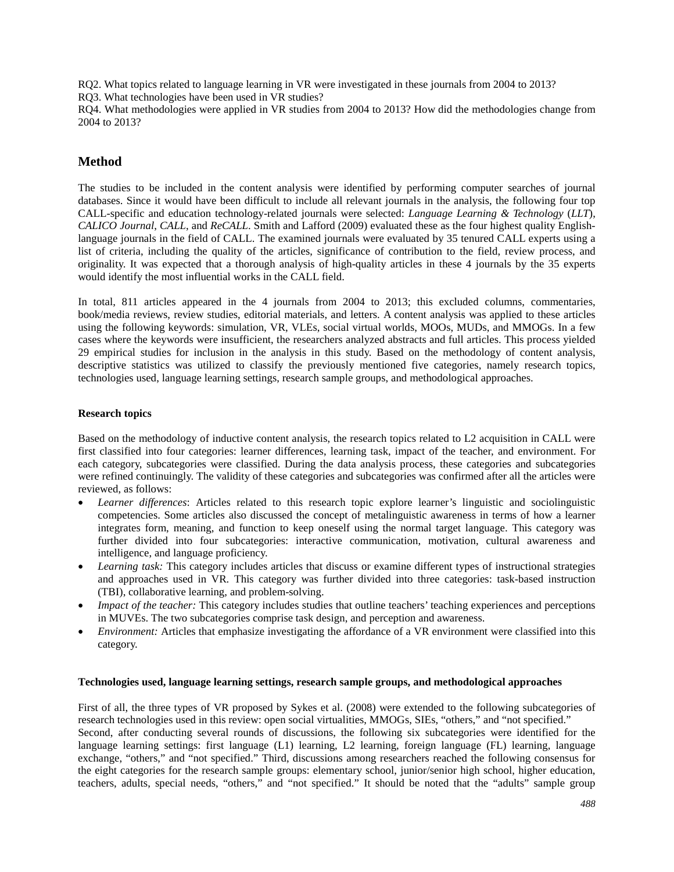RQ2. What topics related to language learning in VR were investigated in these journals from 2004 to 2013?

RQ3. What technologies have been used in VR studies?

RQ4. What methodologies were applied in VR studies from 2004 to 2013? How did the methodologies change from 2004 to 2013?

# **Method**

The studies to be included in the content analysis were identified by performing computer searches of journal databases. Since it would have been difficult to include all relevant journals in the analysis, the following four top CALL-specific and education technology-related journals were selected: *Language Learning & Technology* (*LLT*), *CALICO Journal*, *CALL*, and *ReCALL*. Smith and Lafford (2009) evaluated these as the four highest quality Englishlanguage journals in the field of CALL. The examined journals were evaluated by 35 tenured CALL experts using a list of criteria, including the quality of the articles, significance of contribution to the field, review process, and originality. It was expected that a thorough analysis of high-quality articles in these 4 journals by the 35 experts would identify the most influential works in the CALL field.

In total, 811 articles appeared in the 4 journals from 2004 to 2013; this excluded columns, commentaries, book/media reviews, review studies, editorial materials, and letters. A content analysis was applied to these articles using the following keywords: simulation, VR, VLEs, social virtual worlds, MOOs, MUDs, and MMOGs. In a few cases where the keywords were insufficient, the researchers analyzed abstracts and full articles. This process yielded 29 empirical studies for inclusion in the analysis in this study. Based on the methodology of content analysis, descriptive statistics was utilized to classify the previously mentioned five categories, namely research topics, technologies used, language learning settings, research sample groups, and methodological approaches.

# **Research topics**

Based on the methodology of inductive content analysis, the research topics related to L2 acquisition in CALL were first classified into four categories: learner differences, learning task, impact of the teacher, and environment. For each category, subcategories were classified. During the data analysis process, these categories and subcategories were refined continuingly. The validity of these categories and subcategories was confirmed after all the articles were reviewed, as follows:

- *Learner differences*: Articles related to this research topic explore learner's linguistic and sociolinguistic competencies. Some articles also discussed the concept of metalinguistic awareness in terms of how a learner integrates form, meaning, and function to keep oneself using the normal target language. This category was further divided into four subcategories: interactive communication, motivation, cultural awareness and intelligence, and language proficiency.
- *Learning task:* This category includes articles that discuss or examine different types of instructional strategies and approaches used in VR. This category was further divided into three categories: task-based instruction (TBI), collaborative learning, and problem-solving.
- *Impact of the teacher:* This category includes studies that outline teachers' teaching experiences and perceptions in MUVEs. The two subcategories comprise task design, and perception and awareness.
- *Environment:* Articles that emphasize investigating the affordance of a VR environment were classified into this category.

## **Technologies used, language learning settings, research sample groups, and methodological approaches**

First of all, the three types of VR proposed by Sykes et al. (2008) were extended to the following subcategories of research technologies used in this review: open social virtualities, MMOGs, SIEs, "others," and "not specified."

Second, after conducting several rounds of discussions, the following six subcategories were identified for the language learning settings: first language (L1) learning, L2 learning, foreign language (FL) learning, language exchange, "others," and "not specified." Third, discussions among researchers reached the following consensus for the eight categories for the research sample groups: elementary school, junior/senior high school, higher education, teachers, adults, special needs, "others," and "not specified." It should be noted that the "adults" sample group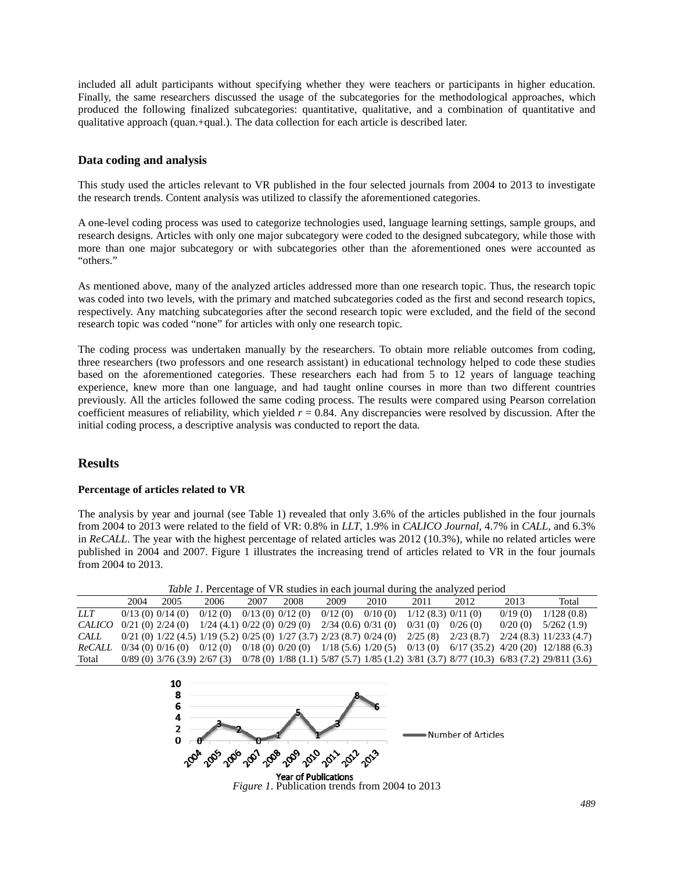included all adult participants without specifying whether they were teachers or participants in higher education. Finally, the same researchers discussed the usage of the subcategories for the methodological approaches, which produced the following finalized subcategories: quantitative, qualitative, and a combination of quantitative and qualitative approach (quan.+qual.). The data collection for each article is described later.

## **Data coding and analysis**

This study used the articles relevant to VR published in the four selected journals from 2004 to 2013 to investigate the research trends. Content analysis was utilized to classify the aforementioned categories.

A one-level coding process was used to categorize technologies used, language learning settings, sample groups, and research designs. Articles with only one major subcategory were coded to the designed subcategory, while those with more than one major subcategory or with subcategories other than the aforementioned ones were accounted as "others."

As mentioned above, many of the analyzed articles addressed more than one research topic. Thus, the research topic was coded into two levels, with the primary and matched subcategories coded as the first and second research topics, respectively. Any matching subcategories after the second research topic were excluded, and the field of the second research topic was coded "none" for articles with only one research topic.

The coding process was undertaken manually by the researchers. To obtain more reliable outcomes from coding, three researchers (two professors and one research assistant) in educational technology helped to code these studies based on the aforementioned categories. These researchers each had from 5 to 12 years of language teaching experience, knew more than one language, and had taught online courses in more than two different countries previously. All the articles followed the same coding process. The results were compared using Pearson correlation coefficient measures of reliability, which yielded *r* = 0.84. Any discrepancies were resolved by discussion. After the initial coding process, a descriptive analysis was conducted to report the data.

# **Results**

## **Percentage of articles related to VR**

The analysis by year and journal (see Table 1) revealed that only 3.6% of the articles published in the four journals from 2004 to 2013 were related to the field of VR: 0.8% in *LLT*, 1.9% in *CALICO Journal*, 4.7% in *CALL*, and 6.3% in *ReCALL*. The year with the highest percentage of related articles was 2012 (10.3%), while no related articles were published in 2004 and 2007. Figure 1 illustrates the increasing trend of articles related to VR in the four journals from 2004 to 2013.

*Table 1*. Percentage of VR studies in each journal during the analyzed period

|            | 2004 | 2005                                                     | 2006                       | 2007 | 2008 | 2009             | 2010    | 2011              | 2012                                                                                                         | 2013    | Total                                                                                                                                       |
|------------|------|----------------------------------------------------------|----------------------------|------|------|------------------|---------|-------------------|--------------------------------------------------------------------------------------------------------------|---------|---------------------------------------------------------------------------------------------------------------------------------------------|
| <i>LLT</i> |      | 0/13(0) 0/14(0)                                          | $0/12(0)$ $0/13(0)0/12(0)$ |      |      | 0/12(0)          | 0/10(0) | 1/12(8.3) 0/11(0) |                                                                                                              | 0/19(0) | 1/128(0.8)                                                                                                                                  |
| CALICO     |      | $0/21$ (0) $2/24$ (0) $1/24$ (4.1) $0/22$ (0) $0/29$ (0) |                            |      |      | 2/34(0.6)0/31(0) |         | 0/31(0)           | 0/26(0)                                                                                                      | 0/20(0) | 5/262(1.9)                                                                                                                                  |
| CALL       |      |                                                          |                            |      |      |                  |         |                   | $0/21$ (0) $1/22$ (4.5) $1/19$ (5.2) $0/25$ (0) $1/27$ (3.7) $2/23$ (8.7) $0/24$ (0) $2/25$ (8) $2/23$ (8.7) |         | $2/24$ (8.3) $11/233$ (4.7)                                                                                                                 |
| ReCALL     |      |                                                          |                            |      |      |                  |         |                   |                                                                                                              |         | $0/34$ (0) $0/16$ (0) $0/12$ (0) $0/18$ (0) $0/20$ (0) $1/18$ (5.6) $1/20$ (5) $0/13$ (0) $6/17$ (35.2) $4/20$ (20) $12/188$ (6.3)          |
| Total      |      |                                                          |                            |      |      |                  |         |                   |                                                                                                              |         | $0/89$ (0) $3/76$ (3.9) $2/67$ (3) $0/78$ (0) $1/88$ (1.1) $5/87$ (5.7) $1/85$ (1.2) $3/81$ (3.7) $8/77$ (10.3) $6/83$ (7.2) $29/811$ (3.6) |



*Figure 1*. Publication trends from 2004 to 2013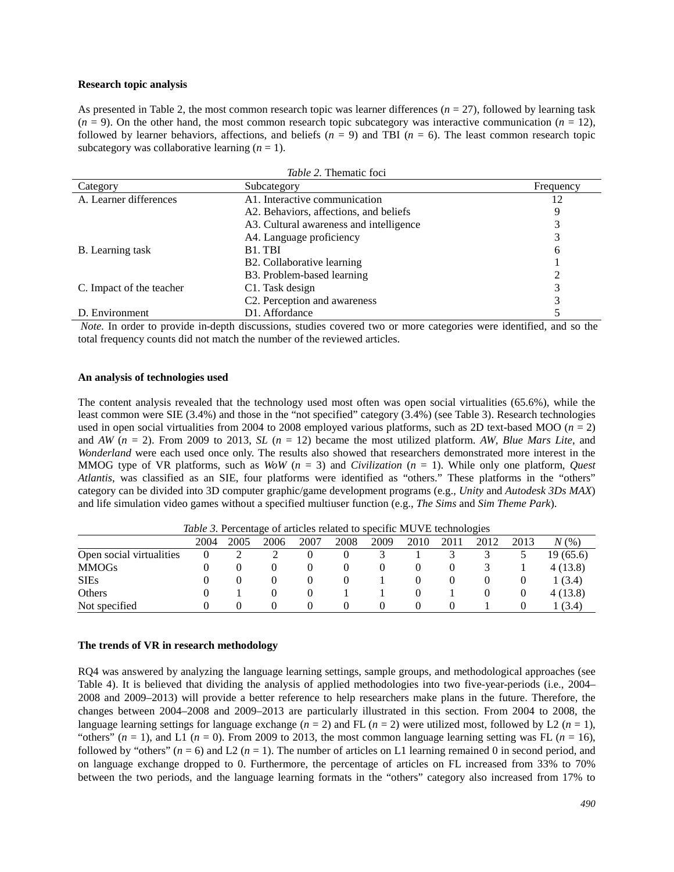#### **Research topic analysis**

As presented in Table 2, the most common research topic was learner differences  $(n = 27)$ , followed by learning task  $(n = 9)$ . On the other hand, the most common research topic subcategory was interactive communication  $(n = 12)$ , followed by learner behaviors, affections, and beliefs  $(n = 9)$  and TBI  $(n = 6)$ . The least common research topic subcategory was collaborative learning  $(n = 1)$ .

| Table 2. Thematic foci   |                                         |           |  |  |  |
|--------------------------|-----------------------------------------|-----------|--|--|--|
| Category                 | Subcategory                             | Frequency |  |  |  |
| A. Learner differences   | A1. Interactive communication           | 12        |  |  |  |
|                          | A2. Behaviors, affections, and beliefs  |           |  |  |  |
|                          | A3. Cultural awareness and intelligence |           |  |  |  |
|                          | A4. Language proficiency                |           |  |  |  |
| B. Learning task         | B <sub>1</sub> . T <sub>BI</sub>        | 6         |  |  |  |
|                          | B2. Collaborative learning              |           |  |  |  |
|                          | B3. Problem-based learning              |           |  |  |  |
| C. Impact of the teacher | C1. Task design                         |           |  |  |  |
|                          | C2. Perception and awareness            |           |  |  |  |
| D. Environment           | D1. Affordance                          |           |  |  |  |

*Note.* In order to provide in-depth discussions, studies covered two or more categories were identified, and so the total frequency counts did not match the number of the reviewed articles.

#### **An analysis of technologies used**

The content analysis revealed that the technology used most often was open social virtualities (65.6%), while the least common were SIE (3.4%) and those in the "not specified" category (3.4%) (see Table 3). Research technologies used in open social virtualities from 2004 to 2008 employed various platforms, such as 2D text-based MOO ( $n = 2$ ) and *AW* (*n* = 2). From 2009 to 2013, *SL* (*n* = 12) became the most utilized platform. *AW*, *Blue Mars Lite*, and *Wonderland* were each used once only. The results also showed that researchers demonstrated more interest in the MMOG type of VR platforms, such as *WoW* (*n* = 3) and *Civilization* (*n* = 1). While only one platform, *Quest Atlantis*, was classified as an SIE, four platforms were identified as "others." These platforms in the "others" category can be divided into 3D computer graphic/game development programs (e.g., *Unity* and *Autodesk 3Ds MAX*) and life simulation video games without a specified multiuser function (e.g., *The Sims* and *Sim Theme Park*).

| <i>Table 5.</i> I creditage of articles related to specific MOVE technologies |          |      |      |      |      |      |      |      |      |      |          |
|-------------------------------------------------------------------------------|----------|------|------|------|------|------|------|------|------|------|----------|
|                                                                               | 2004     | 2005 | 2006 | 2007 | 2008 | 2009 | 2010 | 2011 | 2012 | 2013 | $N(\%)$  |
| Open social virtualities                                                      | $\theta$ |      |      |      |      |      |      |      |      |      | 19(65.6) |
| <b>MMOGs</b>                                                                  |          |      |      |      |      |      |      |      |      |      | 4(13.8)  |
| <b>SIEs</b>                                                                   |          |      |      |      |      |      |      |      |      |      | 1(3.4)   |
| Others                                                                        |          |      |      |      |      |      |      |      |      | O    | 4(13.8)  |
| Not specified                                                                 |          |      |      |      |      |      |      |      |      |      | 1 (3.4)  |

*Table 3.* Percentage of articles related to specific MUVE technologies

### **The trends of VR in research methodology**

RQ4 was answered by analyzing the language learning settings, sample groups, and methodological approaches (see Table 4). It is believed that dividing the analysis of applied methodologies into two five-year-periods (i.e., 2004– 2008 and 2009–2013) will provide a better reference to help researchers make plans in the future. Therefore, the changes between 2004–2008 and 2009–2013 are particularly illustrated in this section. From 2004 to 2008, the language learning settings for language exchange  $(n = 2)$  and FL  $(n = 2)$  were utilized most, followed by L2  $(n = 1)$ , "others"  $(n = 1)$ , and L1  $(n = 0)$ . From 2009 to 2013, the most common language learning setting was FL  $(n = 16)$ , followed by "others"  $(n = 6)$  and L2  $(n = 1)$ . The number of articles on L1 learning remained 0 in second period, and on language exchange dropped to 0. Furthermore, the percentage of articles on FL increased from 33% to 70% between the two periods, and the language learning formats in the "others" category also increased from 17% to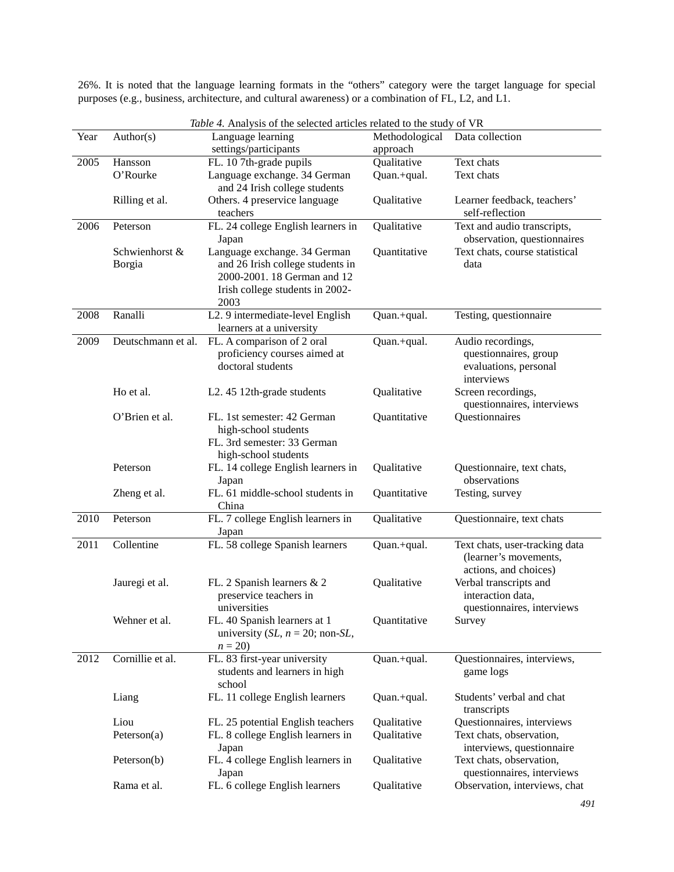26%. It is noted that the language learning formats in the "others" category were the target language for special purposes (e.g., business, architecture, and cultural awareness) or a combination of FL, L2, and L1.

|      |                    | <i>Table 4.</i> Analysis of the selected articles related to the study of VR |                |                                                               |  |  |
|------|--------------------|------------------------------------------------------------------------------|----------------|---------------------------------------------------------------|--|--|
| Year | Author(s)          | Language learning                                                            | Methodological | Data collection                                               |  |  |
|      |                    | settings/participants                                                        | approach       |                                                               |  |  |
| 2005 | Hansson            | FL. 10 7th-grade pupils                                                      | Qualitative    | Text chats                                                    |  |  |
|      | O'Rourke           | Language exchange. 34 German                                                 | Quan.+qual.    | Text chats                                                    |  |  |
|      |                    | and 24 Irish college students                                                |                |                                                               |  |  |
|      | Rilling et al.     | Others. 4 preservice language                                                | Qualitative    | Learner feedback, teachers'                                   |  |  |
|      |                    | teachers                                                                     |                | self-reflection                                               |  |  |
| 2006 | Peterson           | FL. 24 college English learners in                                           | Qualitative    | Text and audio transcripts,                                   |  |  |
|      | Schwienhorst &     | Japan<br>Language exchange. 34 German                                        | Quantitative   | observation, questionnaires<br>Text chats, course statistical |  |  |
|      | Borgia             | and 26 Irish college students in                                             |                | data                                                          |  |  |
|      |                    | 2000-2001. 18 German and 12                                                  |                |                                                               |  |  |
|      |                    | Irish college students in 2002-                                              |                |                                                               |  |  |
|      |                    | 2003                                                                         |                |                                                               |  |  |
| 2008 | Ranalli            | L2. 9 intermediate-level English                                             | Quan.+qual.    | Testing, questionnaire                                        |  |  |
|      |                    | learners at a university                                                     |                |                                                               |  |  |
| 2009 | Deutschmann et al. | FL. A comparison of 2 oral                                                   | Quan.+qual.    | Audio recordings,                                             |  |  |
|      |                    | proficiency courses aimed at                                                 |                | questionnaires, group                                         |  |  |
|      |                    | doctoral students                                                            |                | evaluations, personal                                         |  |  |
|      |                    |                                                                              |                | interviews                                                    |  |  |
|      | Ho et al.          | L2. 45 12th-grade students                                                   | Qualitative    | Screen recordings,                                            |  |  |
|      |                    |                                                                              |                | questionnaires, interviews                                    |  |  |
|      | O'Brien et al.     | FL. 1st semester: 42 German                                                  | Quantitative   | Questionnaires                                                |  |  |
|      |                    | high-school students<br>FL. 3rd semester: 33 German                          |                |                                                               |  |  |
|      |                    | high-school students                                                         |                |                                                               |  |  |
|      | Peterson           | FL. 14 college English learners in                                           | Qualitative    | Questionnaire, text chats,                                    |  |  |
|      |                    | Japan                                                                        |                | observations                                                  |  |  |
|      | Zheng et al.       | FL. 61 middle-school students in                                             | Quantitative   | Testing, survey                                               |  |  |
|      |                    | China                                                                        |                |                                                               |  |  |
| 2010 | Peterson           | FL. 7 college English learners in                                            | Qualitative    | Questionnaire, text chats                                     |  |  |
|      |                    | Japan                                                                        |                |                                                               |  |  |
| 2011 | Collentine         | FL. 58 college Spanish learners                                              | Quan.+qual.    | Text chats, user-tracking data                                |  |  |
|      |                    |                                                                              |                | (learner's movements,                                         |  |  |
|      |                    |                                                                              |                | actions, and choices)                                         |  |  |
|      | Jauregi et al.     | FL. 2 Spanish learners & 2<br>preservice teachers in                         | Qualitative    | Verbal transcripts and<br>interaction data,                   |  |  |
|      |                    | universities                                                                 |                | questionnaires, interviews                                    |  |  |
|      | Wehner et al.      | FL. 40 Spanish learners at 1                                                 | Quantitative   | Survey                                                        |  |  |
|      |                    | university (SL, $n = 20$ ; non-SL,                                           |                |                                                               |  |  |
|      |                    | $n = 20$                                                                     |                |                                                               |  |  |
| 2012 | Cornillie et al.   | FL. 83 first-year university                                                 | Quan.+qual.    | Questionnaires, interviews,                                   |  |  |
|      |                    | students and learners in high                                                |                | game logs                                                     |  |  |
|      |                    | school                                                                       |                |                                                               |  |  |
|      | Liang              | FL. 11 college English learners                                              | Quan.+qual.    | Students' verbal and chat                                     |  |  |
|      |                    |                                                                              |                | transcripts                                                   |  |  |
|      | Liou               | FL. 25 potential English teachers                                            | Qualitative    | Questionnaires, interviews                                    |  |  |
|      | Peterson(a)        | FL. 8 college English learners in                                            | Qualitative    | Text chats, observation,                                      |  |  |
|      |                    | Japan                                                                        |                | interviews, questionnaire                                     |  |  |
|      | Peterson(b)        | FL. 4 college English learners in<br>Japan                                   | Qualitative    | Text chats, observation,<br>questionnaires, interviews        |  |  |
|      | Rama et al.        | FL. 6 college English learners                                               | Qualitative    | Observation, interviews, chat                                 |  |  |
|      |                    |                                                                              |                |                                                               |  |  |

*Table 4.* Analysis of the selected articles related to the study of VR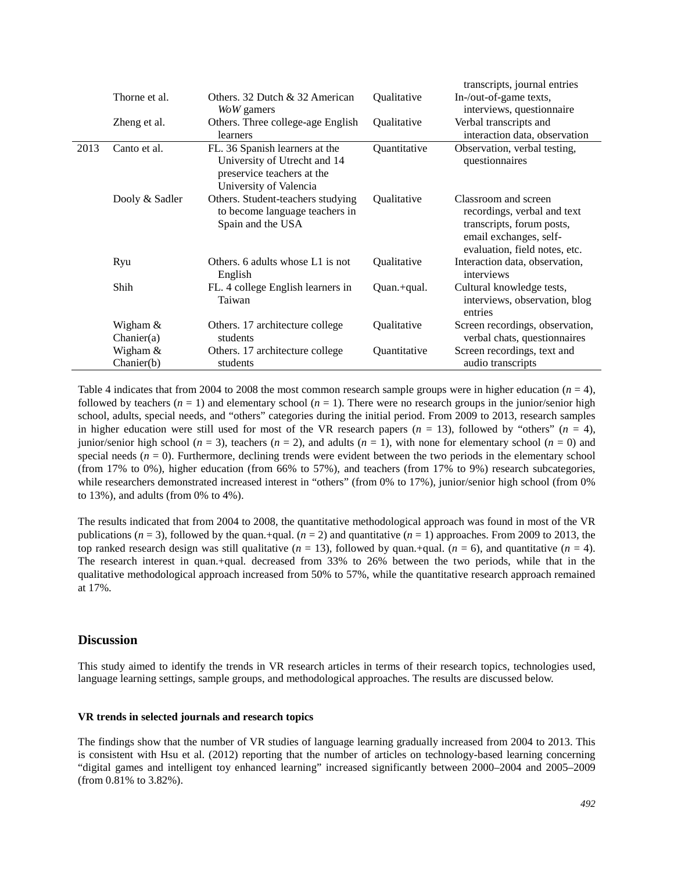|      |                |                                                                                                                        |                    | transcripts, journal entries                                                                                                                |  |  |  |
|------|----------------|------------------------------------------------------------------------------------------------------------------------|--------------------|---------------------------------------------------------------------------------------------------------------------------------------------|--|--|--|
|      | Thorne et al.  | Others. 32 Dutch & 32 American                                                                                         | Qualitative        | In-/out-of-game texts,                                                                                                                      |  |  |  |
|      |                | WoW gamers                                                                                                             |                    | interviews, questionnaire                                                                                                                   |  |  |  |
|      | Zheng et al.   | Others. Three college-age English                                                                                      | Qualitative        | Verbal transcripts and                                                                                                                      |  |  |  |
|      |                | learners                                                                                                               |                    | interaction data, observation                                                                                                               |  |  |  |
| 2013 | Canto et al.   | FL. 36 Spanish learners at the<br>University of Utrecht and 14<br>preservice teachers at the<br>University of Valencia | Quantitative       | Observation, verbal testing,<br>questionnaires                                                                                              |  |  |  |
|      | Dooly & Sadler | Others. Student-teachers studying<br>to become language teachers in<br>Spain and the USA                               | Qualitative        | Classroom and screen<br>recordings, verbal and text<br>transcripts, forum posts,<br>email exchanges, self-<br>evaluation, field notes, etc. |  |  |  |
|      | Ryu            | Others. 6 adults whose L1 is not<br>English                                                                            | <b>Oualitative</b> | Interaction data, observation,<br>interviews                                                                                                |  |  |  |
|      | Shih           | FL. 4 college English learners in<br>Taiwan                                                                            | Quan.+qual.        | Cultural knowledge tests,<br>interviews, observation, blog<br>entries                                                                       |  |  |  |
|      | Wigham &       | Others. 17 architecture college                                                                                        | Qualitative        | Screen recordings, observation,                                                                                                             |  |  |  |
|      | Chanier(a)     | students                                                                                                               |                    | verbal chats, questionnaires                                                                                                                |  |  |  |
|      | Wigham &       | Others. 17 architecture college                                                                                        | Quantitative       | Screen recordings, text and                                                                                                                 |  |  |  |
|      | Chanier(b)     | students                                                                                                               |                    | audio transcripts                                                                                                                           |  |  |  |

Table 4 indicates that from 2004 to 2008 the most common research sample groups were in higher education  $(n = 4)$ , followed by teachers  $(n = 1)$  and elementary school  $(n = 1)$ . There were no research groups in the junior/senior high school, adults, special needs, and "others" categories during the initial period. From 2009 to 2013, research samples in higher education were still used for most of the VR research papers  $(n = 13)$ , followed by "others"  $(n = 4)$ , junior/senior high school ( $n = 3$ ), teachers ( $n = 2$ ), and adults ( $n = 1$ ), with none for elementary school ( $n = 0$ ) and special needs  $(n = 0)$ . Furthermore, declining trends were evident between the two periods in the elementary school (from 17% to 0%), higher education (from 66% to 57%), and teachers (from 17% to 9%) research subcategories, while researchers demonstrated increased interest in "others" (from 0% to 17%), junior/senior high school (from 0% to 13%), and adults (from 0% to 4%).

The results indicated that from 2004 to 2008, the quantitative methodological approach was found in most of the VR publications  $(n = 3)$ , followed by the quan.+qual.  $(n = 2)$  and quantitative  $(n = 1)$  approaches. From 2009 to 2013, the top ranked research design was still qualitative  $(n = 13)$ , followed by quan.+qual.  $(n = 6)$ , and quantitative  $(n = 4)$ . The research interest in quan.+qual*.* decreased from 33% to 26% between the two periods, while that in the qualitative methodological approach increased from 50% to 57%, while the quantitative research approach remained at 17%.

## **Discussion**

This study aimed to identify the trends in VR research articles in terms of their research topics, technologies used, language learning settings, sample groups, and methodological approaches. The results are discussed below.

#### **VR trends in selected journals and research topics**

The findings show that the number of VR studies of language learning gradually increased from 2004 to 2013. This is consistent with Hsu et al. (2012) reporting that the number of articles on technology-based learning concerning "digital games and intelligent toy enhanced learning" increased significantly between 2000–2004 and 2005–2009 (from 0.81% to 3.82%).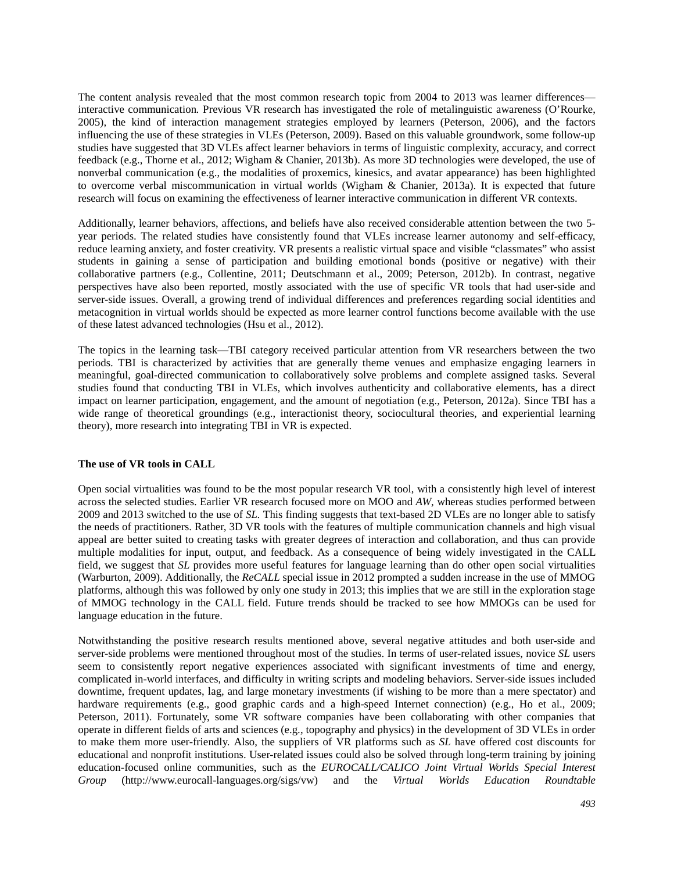The content analysis revealed that the most common research topic from 2004 to 2013 was learner differences interactive communication*.* Previous VR research has investigated the role of metalinguistic awareness (O'Rourke, 2005), the kind of interaction management strategies employed by learners (Peterson, 2006), and the factors influencing the use of these strategies in VLEs (Peterson, 2009). Based on this valuable groundwork, some follow-up studies have suggested that 3D VLEs affect learner behaviors in terms of linguistic complexity, accuracy, and correct feedback (e.g., Thorne et al., 2012; Wigham & Chanier, 2013b). As more 3D technologies were developed, the use of nonverbal communication (e.g., the modalities of proxemics, kinesics, and avatar appearance) has been highlighted to overcome verbal miscommunication in virtual worlds (Wigham & Chanier, 2013a). It is expected that future research will focus on examining the effectiveness of learner interactive communication in different VR contexts.

Additionally, learner behaviors, affections, and beliefs have also received considerable attention between the two 5 year periods. The related studies have consistently found that VLEs increase learner autonomy and self-efficacy, reduce learning anxiety, and foster creativity. VR presents a realistic virtual space and visible "classmates" who assist students in gaining a sense of participation and building emotional bonds (positive or negative) with their collaborative partners (e.g., Collentine, 2011; Deutschmann et al., 2009; Peterson, 2012b). In contrast, negative perspectives have also been reported, mostly associated with the use of specific VR tools that had user-side and server-side issues. Overall, a growing trend of individual differences and preferences regarding social identities and metacognition in virtual worlds should be expected as more learner control functions become available with the use of these latest advanced technologies (Hsu et al., 2012).

The topics in the learning task—TBI category received particular attention from VR researchers between the two periods. TBI is characterized by activities that are generally theme venues and emphasize engaging learners in meaningful, goal-directed communication to collaboratively solve problems and complete assigned tasks. Several studies found that conducting TBI in VLEs, which involves authenticity and collaborative elements, has a direct impact on learner participation, engagement, and the amount of negotiation (e.g., Peterson, 2012a). Since TBI has a wide range of theoretical groundings (e.g., interactionist theory, sociocultural theories, and experiential learning theory), more research into integrating TBI in VR is expected.

#### **The use of VR tools in CALL**

Open social virtualities was found to be the most popular research VR tool, with a consistently high level of interest across the selected studies. Earlier VR research focused more on MOO and *AW*, whereas studies performed between 2009 and 2013 switched to the use of *SL.* This finding suggests that text-based 2D VLEs are no longer able to satisfy the needs of practitioners. Rather, 3D VR tools with the features of multiple communication channels and high visual appeal are better suited to creating tasks with greater degrees of interaction and collaboration, and thus can provide multiple modalities for input, output, and feedback. As a consequence of being widely investigated in the CALL field, we suggest that *SL* provides more useful features for language learning than do other open social virtualities (Warburton, 2009). Additionally, the *ReCALL* special issue in 2012 prompted a sudden increase in the use of MMOG platforms, although this was followed by only one study in 2013; this implies that we are still in the exploration stage of MMOG technology in the CALL field. Future trends should be tracked to see how MMOGs can be used for language education in the future.

Notwithstanding the positive research results mentioned above, several negative attitudes and both user-side and server-side problems were mentioned throughout most of the studies. In terms of user-related issues, novice *SL* users seem to consistently report negative experiences associated with significant investments of time and energy, complicated in-world interfaces, and difficulty in writing scripts and modeling behaviors. Server-side issues included downtime, frequent updates, lag, and large monetary investments (if wishing to be more than a mere spectator) and hardware requirements (e.g., good graphic cards and a high-speed Internet connection) (e.g., Ho et al., 2009; Peterson, 2011). Fortunately, some VR software companies have been collaborating with other companies that operate in different fields of arts and sciences (e.g., topography and physics) in the development of 3D VLEs in order to make them more user-friendly. Also, the suppliers of VR platforms such as *SL* have offered cost discounts for educational and nonprofit institutions. User-related issues could also be solved through long-term training by joining education-focused online communities, such as the *EUROCALL/CALICO Joint Virtual Worlds Special Interest Group* (http://www.eurocall-languages.org/sigs/vw) and the *Virtual Worlds Education Roundtable*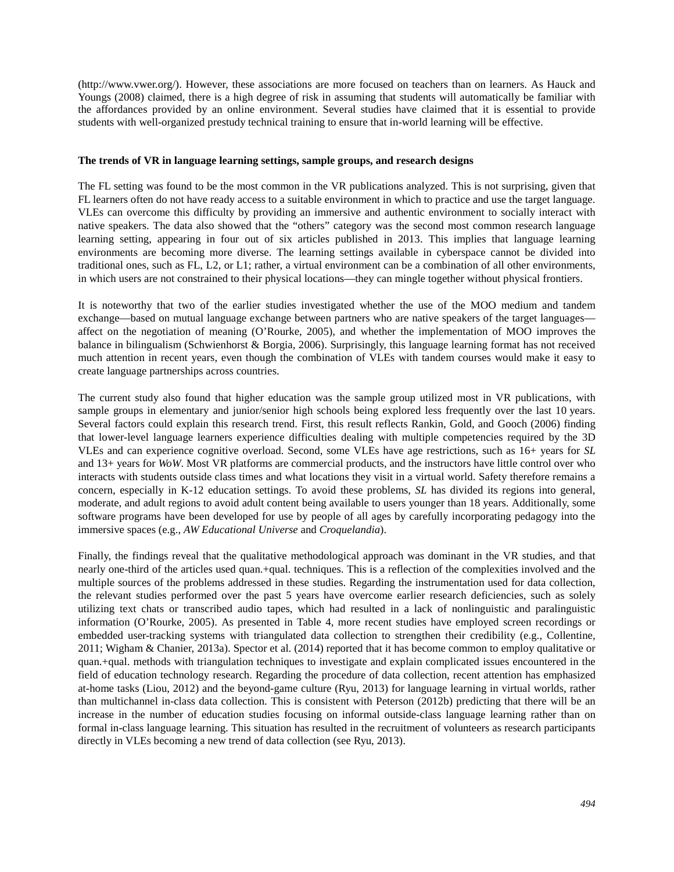(http://www.vwer.org/). However, these associations are more focused on teachers than on learners. As Hauck and Youngs (2008) claimed, there is a high degree of risk in assuming that students will automatically be familiar with the affordances provided by an online environment. Several studies have claimed that it is essential to provide students with well-organized prestudy technical training to ensure that in-world learning will be effective.

#### **The trends of VR in language learning settings, sample groups, and research designs**

The FL setting was found to be the most common in the VR publications analyzed. This is not surprising, given that FL learners often do not have ready access to a suitable environment in which to practice and use the target language. VLEs can overcome this difficulty by providing an immersive and authentic environment to socially interact with native speakers. The data also showed that the "others" category was the second most common research language learning setting, appearing in four out of six articles published in 2013. This implies that language learning environments are becoming more diverse. The learning settings available in cyberspace cannot be divided into traditional ones, such as FL, L2, or L1; rather, a virtual environment can be a combination of all other environments, in which users are not constrained to their physical locations—they can mingle together without physical frontiers.

It is noteworthy that two of the earlier studies investigated whether the use of the MOO medium and tandem exchange—based on mutual language exchange between partners who are native speakers of the target languages affect on the negotiation of meaning (O'Rourke, 2005), and whether the implementation of MOO improves the balance in bilingualism (Schwienhorst & Borgia, 2006). Surprisingly, this language learning format has not received much attention in recent years, even though the combination of VLEs with tandem courses would make it easy to create language partnerships across countries.

The current study also found that higher education was the sample group utilized most in VR publications, with sample groups in elementary and junior/senior high schools being explored less frequently over the last 10 years. Several factors could explain this research trend. First, this result reflects Rankin, Gold, and Gooch (2006) finding that lower-level language learners experience difficulties dealing with multiple competencies required by the 3D VLEs and can experience cognitive overload. Second, some VLEs have age restrictions, such as 16+ years for *SL* and 13+ years for *WoW*. Most VR platforms are commercial products, and the instructors have little control over who interacts with students outside class times and what locations they visit in a virtual world. Safety therefore remains a concern, especially in K-12 education settings. To avoid these problems, *SL* has divided its regions into general, moderate, and adult regions to avoid adult content being available to users younger than 18 years. Additionally, some software programs have been developed for use by people of all ages by carefully incorporating pedagogy into the immersive spaces (e.g., *AW Educational Universe* and *Croquelandia*).

Finally, the findings reveal that the qualitative methodological approach was dominant in the VR studies, and that nearly one-third of the articles used quan.+qual. techniques. This is a reflection of the complexities involved and the multiple sources of the problems addressed in these studies. Regarding the instrumentation used for data collection, the relevant studies performed over the past 5 years have overcome earlier research deficiencies, such as solely utilizing text chats or transcribed audio tapes, which had resulted in a lack of nonlinguistic and paralinguistic information (O'Rourke, 2005). As presented in Table 4, more recent studies have employed screen recordings or embedded user-tracking systems with triangulated data collection to strengthen their credibility (e.g., Collentine, 2011; Wigham & Chanier, 2013a). Spector et al. (2014) reported that it has become common to employ qualitative or quan.+qual. methods with triangulation techniques to investigate and explain complicated issues encountered in the field of education technology research. Regarding the procedure of data collection, recent attention has emphasized at-home tasks (Liou, 2012) and the beyond-game culture (Ryu, 2013) for language learning in virtual worlds, rather than multichannel in-class data collection. This is consistent with Peterson (2012b) predicting that there will be an increase in the number of education studies focusing on informal outside-class language learning rather than on formal in-class language learning. This situation has resulted in the recruitment of volunteers as research participants directly in VLEs becoming a new trend of data collection (see Ryu, 2013).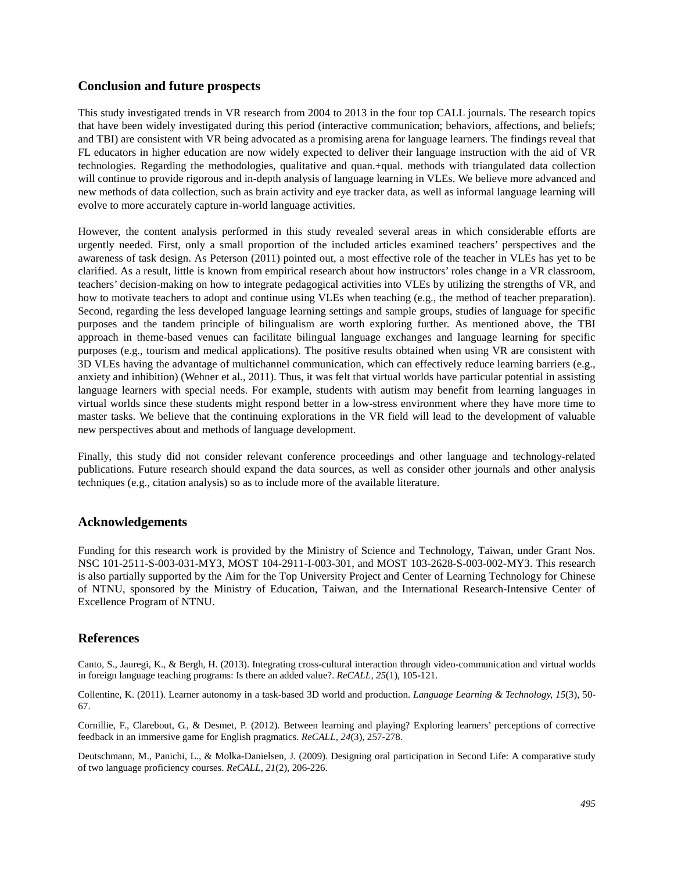# **Conclusion and future prospects**

This study investigated trends in VR research from 2004 to 2013 in the four top CALL journals. The research topics that have been widely investigated during this period (interactive communication; behaviors, affections, and beliefs; and TBI) are consistent with VR being advocated as a promising arena for language learners. The findings reveal that FL educators in higher education are now widely expected to deliver their language instruction with the aid of VR technologies. Regarding the methodologies, qualitative and quan.+qual. methods with triangulated data collection will continue to provide rigorous and in-depth analysis of language learning in VLEs. We believe more advanced and new methods of data collection, such as brain activity and eye tracker data, as well as informal language learning will evolve to more accurately capture in-world language activities.

However, the content analysis performed in this study revealed several areas in which considerable efforts are urgently needed. First, only a small proportion of the included articles examined teachers' perspectives and the awareness of task design. As Peterson (2011) pointed out, a most effective role of the teacher in VLEs has yet to be clarified. As a result, little is known from empirical research about how instructors' roles change in a VR classroom, teachers' decision-making on how to integrate pedagogical activities into VLEs by utilizing the strengths of VR, and how to motivate teachers to adopt and continue using VLEs when teaching (e.g., the method of teacher preparation). Second, regarding the less developed language learning settings and sample groups, studies of language for specific purposes and the tandem principle of bilingualism are worth exploring further. As mentioned above, the TBI approach in theme-based venues can facilitate bilingual language exchanges and language learning for specific purposes (e.g., tourism and medical applications). The positive results obtained when using VR are consistent with 3D VLEs having the advantage of multichannel communication, which can effectively reduce learning barriers (e.g., anxiety and inhibition) (Wehner et al., 2011). Thus, it was felt that virtual worlds have particular potential in assisting language learners with special needs. For example, students with autism may benefit from learning languages in virtual worlds since these students might respond better in a low-stress environment where they have more time to master tasks. We believe that the continuing explorations in the VR field will lead to the development of valuable new perspectives about and methods of language development.

Finally, this study did not consider relevant conference proceedings and other language and technology-related publications. Future research should expand the data sources, as well as consider other journals and other analysis techniques (e.g., citation analysis) so as to include more of the available literature.

# **Acknowledgements**

Funding for this research work is provided by the Ministry of Science and Technology, Taiwan, under Grant Nos. NSC 101-2511-S-003-031-MY3, MOST 104-2911-I-003-301, and MOST 103-2628-S-003-002-MY3. This research is also partially supported by the Aim for the Top University Project and Center of Learning Technology for Chinese of NTNU, sponsored by the Ministry of Education, Taiwan, and the International Research-Intensive Center of Excellence Program of NTNU.

# **References**

Canto, S., Jauregi, K., & Bergh, H. (2013). Integrating cross-cultural interaction through video-communication and virtual worlds in foreign language teaching programs: Is there an added value?. *ReCALL, 25*(1), 105-121.

Collentine, K. (2011). Learner autonomy in a task-based 3D world and production. *Language Learning & Technology, 15*(3), 50- 67.

Cornillie, F., Clarebout, G., & Desmet, P. (2012). Between learning and playing? Exploring learners' perceptions of corrective feedback in an immersive game for English pragmatics. *ReCALL, 24*(3), 257-278.

Deutschmann, M., Panichi, L., & Molka-Danielsen, J. (2009). Designing oral participation in Second Life: A comparative study of two language proficiency courses. *ReCALL, 21*(2), 206-226.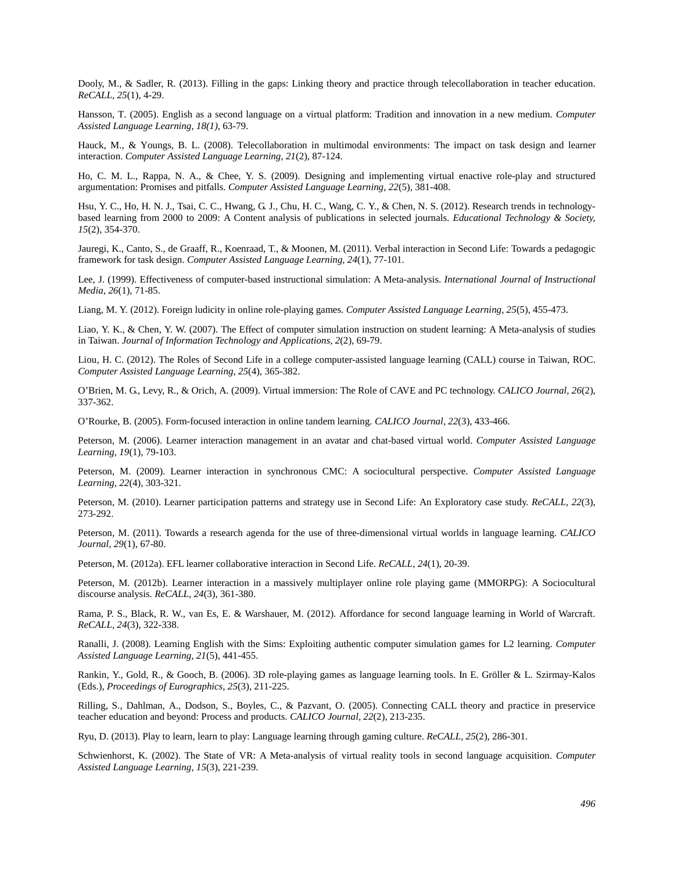Dooly, M., & Sadler, R. (2013). Filling in the gaps: Linking theory and practice through telecollaboration in teacher education. *ReCALL, 25*(1), 4-29.

Hansson, T. (2005). English as a second language on a virtual platform: Tradition and innovation in a new medium. *Computer Assisted Language Learning, 18(1),* 63-79.

Hauck, M., & Youngs, B. L. (2008). Telecollaboration in multimodal environments: The impact on task design and learner interaction. *Computer Assisted Language Learning, 21*(2), 87-124.

Ho, C. M. L., Rappa, N. A., & Chee, Y. S. (2009). Designing and implementing virtual enactive role-play and structured argumentation: Promises and pitfalls. *Computer Assisted Language Learning, 22*(5), 381-408.

Hsu, Y. C., Ho, H. N. J., Tsai, C. C., Hwang, G. J., Chu, H. C., Wang, C. Y., & Chen, N. S. (2012). Research trends in technologybased learning from 2000 to 2009: A Content analysis of publications in selected journals. *Educational Technology & Society, 15*(2), 354-370.

Jauregi, K., Canto, S., de Graaff, R., Koenraad, T., & Moonen, M. (2011). Verbal interaction in Second Life: Towards a pedagogic framework for task design. *Computer Assisted Language Learning, 24*(1), 77-101.

Lee, J. (1999). Effectiveness of computer-based instructional simulation: A Meta-analysis. *International Journal of Instructional Media, 26*(1), 71-85.

Liang, M. Y. (2012). Foreign ludicity in online role-playing games. *Computer Assisted Language Learning, 25*(5), 455-473.

Liao, Y. K., & Chen, Y. W. (2007). The Effect of computer simulation instruction on student learning: A Meta-analysis of studies in Taiwan. *Journal of Information Technology and Applications, 2*(2), 69-79.

Liou, H. C. (2012). The Roles of Second Life in a college computer-assisted language learning (CALL) course in Taiwan, ROC. *Computer Assisted Language Learning, 25*(4), 365-382.

O'Brien, M. G., Levy, R., & Orich, A. (2009). Virtual immersion: The Role of CAVE and PC technology. *CALICO Journal, 26*(2), 337-362.

O'Rourke, B. (2005). Form-focused interaction in online tandem learning. *CALICO Journal, 22*(3), 433-466.

Peterson, M. (2006). Learner interaction management in an avatar and chat-based virtual world. *Computer Assisted Language Learning, 19*(1), 79-103.

Peterson, M. (2009). Learner interaction in synchronous CMC: A sociocultural perspective. *Computer Assisted Language Learning, 22*(4), 303-321.

Peterson, M. (2010). Learner participation patterns and strategy use in Second Life: An Exploratory case study. *ReCALL, 22*(3), 273-292.

Peterson, M. (2011). Towards a research agenda for the use of three-dimensional virtual worlds in language learning. *CALICO Journal, 29*(1), 67-80.

Peterson, M. (2012a). EFL learner collaborative interaction in Second Life. *ReCALL, 24*(1), 20-39.

Peterson, M. (2012b). Learner interaction in a massively multiplayer online role playing game (MMORPG): A Sociocultural discourse analysis. *ReCALL, 24*(3), 361-380.

Rama, P. S., Black, R. W., van Es, E. & Warshauer, M. (2012). Affordance for second language learning in World of Warcraft. *ReCALL, 24*(3), 322-338.

Ranalli, J. (2008). Learning English with the Sims: Exploiting authentic computer simulation games for L2 learning. *Computer Assisted Language Learning, 21*(5), 441-455.

Rankin, Y., Gold, R., & Gooch, B. (2006). 3D role-playing games as language learning tools. In E. Gröller & L. Szirmay-Kalos (Eds.), *Proceedings of Eurographics, 25*(3), 211-225.

Rilling, S., Dahlman, A., Dodson, S., Boyles, C., & Pazvant, O. (2005). Connecting CALL theory and practice in preservice teacher education and beyond: Process and products. *CALICO Journal, 22*(2), 213-235.

Ryu, D. (2013). Play to learn, learn to play: Language learning through gaming culture. *ReCALL, 25*(2), 286-301.

Schwienhorst, K. (2002). The State of VR: A Meta-analysis of virtual reality tools in second language acquisition. *Computer Assisted Language Learning, 15*(3), 221-239.